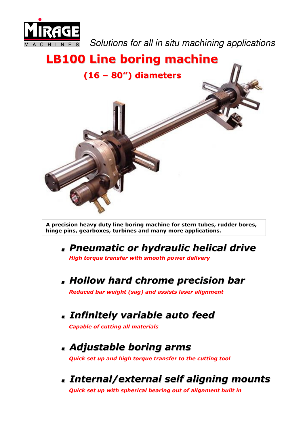

Solutions for all in situ machining applications

## LB100 Line boring machine (16 – 80") diameters

A precision heavy duty line boring machine for stern tubes, rudder bores, hinge pins, gearboxes, turbines and many more applications.

- . Pneumatic or hydraulic helical drive High torque transfer with smooth power delivery
- . Hollow hard chrome precision bar Reduced bar weight (sag) and assists laser alignment
- . Infinitely variable auto feed

Capable of cutting all materials

- . Adjustable boring arms Quick set up and high torque transfer to the cutting tool
- . Internal/external self aligning mounts Quick set up with spherical bearing out of alignment built in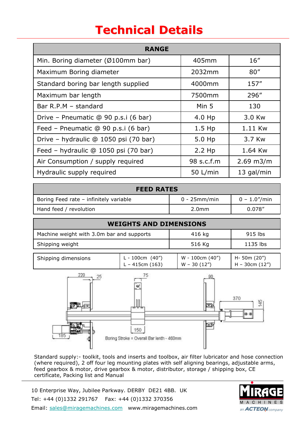## Technical Details

| <b>RANGE</b>                          |            |                |  |
|---------------------------------------|------------|----------------|--|
| Min. Boring diameter (Ø100mm bar)     | 405mm      | 16''           |  |
| Maximum Boring diameter               | 2032mm     | 80''           |  |
| Standard boring bar length supplied   | 4000mm     | 157''          |  |
| Maximum bar length                    | 7500mm     | 296"           |  |
| Bar R.P.M - standard                  | Min 5      | 130            |  |
| Drive - Pneumatic @ 90 p.s.i (6 bar)  | 4.0 Hp     | 3.0 Kw         |  |
| Feed - Pneumatic @ 90 p.s.i (6 bar)   | $1.5$ Hp   | 1.11 Kw        |  |
| Drive - hydraulic @ 1050 psi (70 bar) | 5.0 Hp     | 3.7 Kw         |  |
| Feed - hydraulic @ 1050 psi (70 bar)  | $2.2$ Hp   | 1.64 Kw        |  |
| Air Consumption / supply required     | 98 s.c.f.m | $2.69$ m $3/m$ |  |
| Hydraulic supply required             | 50 L/min   | 13 gal/min     |  |

| <b>FEED RATES</b>                      |                   |                 |
|----------------------------------------|-------------------|-----------------|
| Boring Feed rate - infinitely variable | $0 - 25$ mm/min   | $0 - 1.0''/min$ |
| Hand feed / revolution                 | 2.0 <sub>mm</sub> | 0.078''         |

| <b>WEIGHTS AND DIMENSIONS</b>             |        |          |
|-------------------------------------------|--------|----------|
| Machine weight with 3.0m bar and supports | 416 kg | 915 lbs  |
| Shipping weight                           | 516 Kg | 1135 lbs |

| Shipping dimensions | 100cm (40")<br>- L = 1 | W - 100cm (40") | H- 50m (20")   |
|---------------------|------------------------|-----------------|----------------|
|                     | L – 415cm $(163)$      | $W - 30(12'')$  | H – 30cm (12") |



Standard supply:- toolkit, tools and inserts and toolbox, air filter lubricator and hose connection (where required), 2 off four leg mounting plates with self aligning bearings, adjustable arms, feed gearbox & motor, drive gearbox & motor, distributor, storage / shipping box, CE certificate, Packing list and Manual

10 Enterprise Way, Jubilee Parkway. DERBY DE21 4BB. UK Tel: +44 (0)1332 291767 Fax: +44 (0)1332 370356 Email: sales@miragemachines.com www.miragemachines.com